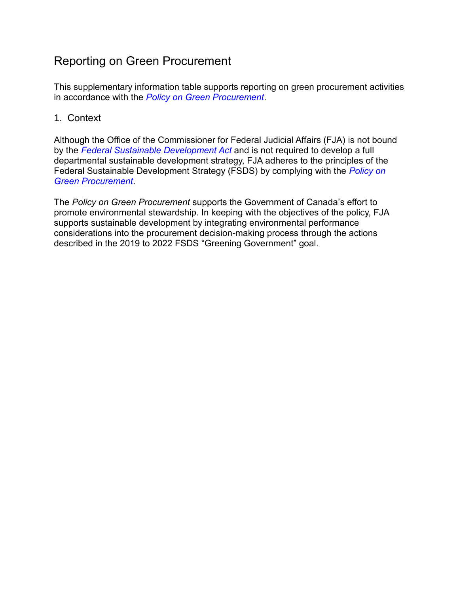## Reporting on Green Procurement

This supplementary information table supports reporting on green procurement activities in accordance with the *[Policy on Green Procurement](https://www.tbs-sct.gc.ca/pol/doc-eng.aspx?id=32573)*.

## 1. Context

Although the Office of the Commissioner for Federal Judicial Affairs (FJA) is not bound by the *[Federal Sustainable Development Act](http://laws-lois.justice.gc.ca/eng/acts/F-8.6/index.html)* and is not required to develop a full departmental sustainable development strategy, FJA adheres to the principles of the Federal Sustainable Development Strategy (FSDS) by complying with the *[Policy on](https://www.tbs-sct.gc.ca/pol/doc-eng.aspx?id=32573)  [Green Procurement](https://www.tbs-sct.gc.ca/pol/doc-eng.aspx?id=32573)*.

The *Policy on Green Procurement* supports the Government of Canada's effort to promote environmental stewardship. In keeping with the objectives of the policy, FJA supports sustainable development by integrating environmental performance considerations into the procurement decision-making process through the actions described in the 2019 to 2022 FSDS "Greening Government" goal.